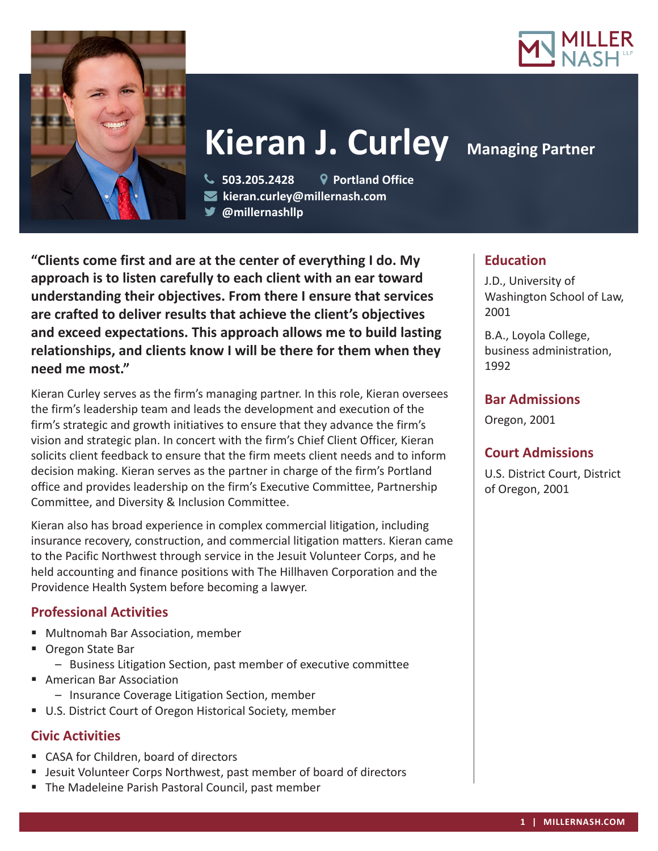



# **Kieran J. Curley Managing Partner**

 **503.205.2428 Portland Office kieran.curley@millernash.com** 

**@millernashllp** 

**"Clients come first and are at the center of everything I do. My approach is to listen carefully to each client with an ear toward understanding their objectives. From there I ensure that services are crafted to deliver results that achieve the client's objectives and exceed expectations. This approach allows me to build lasting relationships, and clients know I will be there for them when they need me most."**

Kieran Curley serves as the firm's managing partner. In this role, Kieran oversees the firm's leadership team and leads the development and execution of the firm's strategic and growth initiatives to ensure that they advance the firm's vision and strategic plan. In concert with the firm's Chief Client Officer, Kieran solicits client feedback to ensure that the firm meets client needs and to inform decision making. Kieran serves as the partner in charge of the firm's Portland office and provides leadership on the firm's Executive Committee, Partnership Committee, and Diversity & Inclusion Committee.

Kieran also has broad experience in complex commercial litigation, including insurance recovery, construction, and commercial litigation matters. Kieran came to the Pacific Northwest through service in the Jesuit Volunteer Corps, and he held accounting and finance positions with The Hillhaven Corporation and the Providence Health System before becoming a lawyer.

#### **Professional Activities**

- Multnomah Bar Association, member
- **Oregon State Bar** 
	- Business Litigation Section, past member of executive committee
- **American Bar Association** 
	- Insurance Coverage Litigation Section, member
- U.S. District Court of Oregon Historical Society, member

## **Civic Activities**

- CASA for Children, board of directors
- Jesuit Volunteer Corps Northwest, past member of board of directors
- **The Madeleine Parish Pastoral Council, past member**

# **Education**

J.D., University of Washington School of Law, 2001

B.A., Loyola College, business administration, 1992

### **Bar Admissions**

Oregon, 2001

# **Court Admissions**

U.S. District Court, District of Oregon, 2001